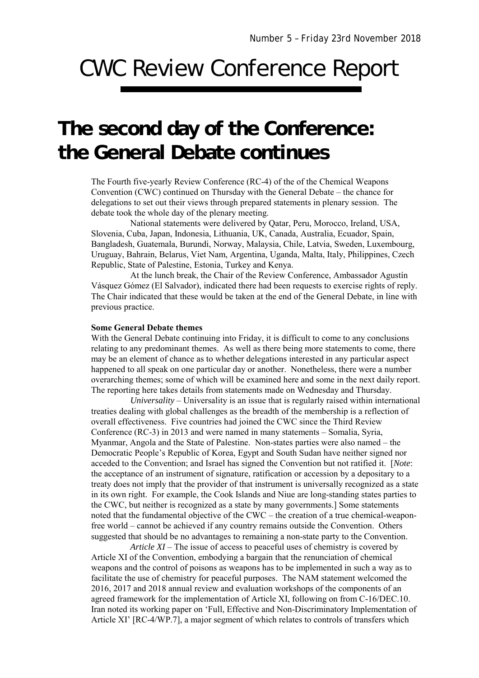## CWC Review Conference Report

## **The second day of the Conference: the General Debate continues**

The Fourth five-yearly Review Conference (RC-4) of the of the Chemical Weapons Convention (CWC) continued on Thursday with the General Debate – the chance for delegations to set out their views through prepared statements in plenary session. The debate took the whole day of the plenary meeting.

National statements were delivered by Qatar, Peru, Morocco, Ireland, USA, Slovenia, Cuba, Japan, Indonesia, Lithuania, UK, Canada, Australia, Ecuador, Spain, Bangladesh, Guatemala, Burundi, Norway, Malaysia, Chile, Latvia, Sweden, Luxembourg, Uruguay, Bahrain, Belarus, Viet Nam, Argentina, Uganda, Malta, Italy, Philippines, Czech Republic, State of Palestine, Estonia, Turkey and Kenya.

At the lunch break, the Chair of the Review Conference, Ambassador Agustín Vásquez Gómez (El Salvador), indicated there had been requests to exercise rights of reply. The Chair indicated that these would be taken at the end of the General Debate, in line with previous practice.

## **Some General Debate themes**

With the General Debate continuing into Friday, it is difficult to come to any conclusions relating to any predominant themes. As well as there being more statements to come, there may be an element of chance as to whether delegations interested in any particular aspect happened to all speak on one particular day or another. Nonetheless, there were a number overarching themes; some of which will be examined here and some in the next daily report. The reporting here takes details from statements made on Wednesday and Thursday.

*Universality* – Universality is an issue that is regularly raised within international treaties dealing with global challenges as the breadth of the membership is a reflection of overall effectiveness. Five countries had joined the CWC since the Third Review Conference (RC-3) in 2013 and were named in many statements – Somalia, Syria, Myanmar, Angola and the State of Palestine. Non-states parties were also named – the Democratic People's Republic of Korea, Egypt and South Sudan have neither signed nor acceded to the Convention; and Israel has signed the Convention but not ratified it. [*Note*: the acceptance of an instrument of signature, ratification or accession by a depositary to a treaty does not imply that the provider of that instrument is universally recognized as a state in its own right. For example, the Cook Islands and Niue are long-standing states parties to the CWC, but neither is recognized as a state by many governments.] Some statements noted that the fundamental objective of the CWC – the creation of a true chemical-weaponfree world – cannot be achieved if any country remains outside the Convention. Others suggested that should be no advantages to remaining a non-state party to the Convention.

*Article XI* – The issue of access to peaceful uses of chemistry is covered by Article XI of the Convention, embodying a bargain that the renunciation of chemical weapons and the control of poisons as weapons has to be implemented in such a way as to facilitate the use of chemistry for peaceful purposes. The NAM statement welcomed the 2016, 2017 and 2018 annual review and evaluation workshops of the components of an agreed framework for the implementation of Article XI, following on from C-16/DEC.10. Iran noted its working paper on 'Full, Effective and Non-Discriminatory Implementation of Article XI' [RC-4/WP.7], a major segment of which relates to controls of transfers which